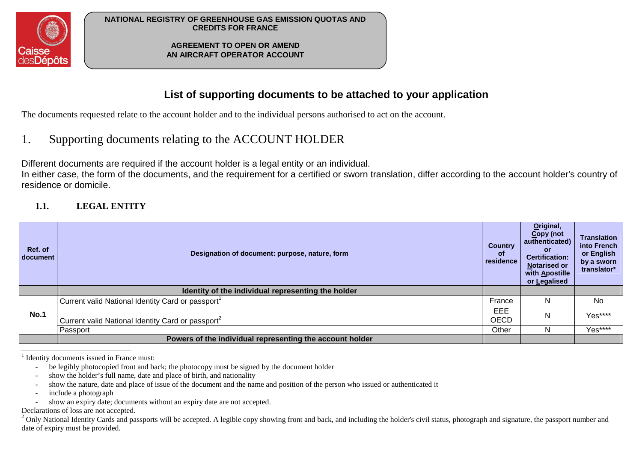

**AGREEMENT TO OPEN OR AMEND AN AIRCRAFT OPERATOR ACCOUNT** 

## **List of supporting documents to be attached to your application**

The documents requested relate to the account holder and to the individual persons authorised to act on the account.

#### 1.Supporting documents relating to the ACCOUNT HOLDER

Different documents are required if the account holder is a legal entity or an individual.

 In either case, the form of the documents, and the requirement for a certified or sworn translation, differ according to the account holder's country of residence or domicile.

#### **1.1.LEGAL ENTITY**

| Ref. of<br>document | Designation of document: purpose, nature, form                | <b>Country</b><br><b>of</b><br>residence | Original,<br>Copy (not<br>authenticated)<br><b>or</b><br><b>Certification:</b><br><b>Notarised or</b><br>with Apostille<br>or Legalised | <b>Translation</b><br>into French<br>or English<br>by a sworn<br>translator* |
|---------------------|---------------------------------------------------------------|------------------------------------------|-----------------------------------------------------------------------------------------------------------------------------------------|------------------------------------------------------------------------------|
|                     | Identity of the individual representing the holder            |                                          |                                                                                                                                         |                                                                              |
| <b>No.1</b>         | Current valid National Identity Card or passport              | France                                   | N.                                                                                                                                      | <b>No</b>                                                                    |
|                     | Current valid National Identity Card or passport <sup>2</sup> | EEE<br><b>OECD</b>                       | N                                                                                                                                       | Yes****                                                                      |
|                     | Passport                                                      | Other                                    | N.                                                                                                                                      | Yes****                                                                      |
|                     | Powers of the individual representing the account holder      |                                          |                                                                                                                                         |                                                                              |

 $<sup>1</sup>$  Identity documents issued in France must:</sup>

- be legibly photocopied front and back; the photocopy must be signed by the document holder
- show the holder's full name, date and place of birth, and nationality
- show the nature, date and place of issue of the document and the name and position of the person who issued or authenticated it
- include a photograph
- show an expiry date; documents without an expiry date are not accepted.

Declarations of loss are not accepted.

 $2$  Only National Identity Cards and passports will be accepted. A legible copy showing front and back, and including the holder's civil status, photograph and signature, the passport number and date of expiry must be provided.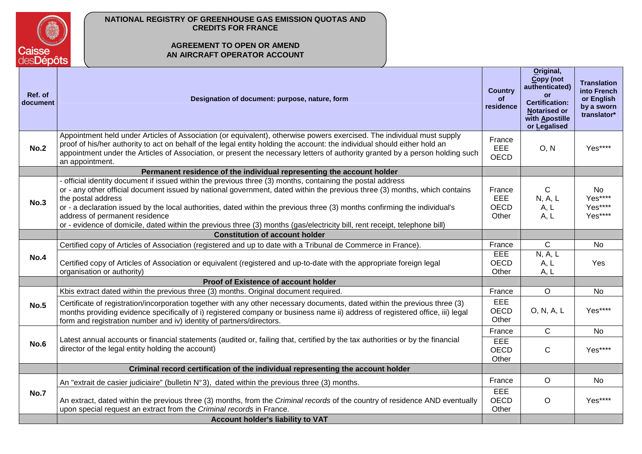

## **AGREEMENT TO OPEN OR AMEND AN AIRCRAFT OPERATOR ACCOUNT**

| Ref. of<br>document | Designation of document: purpose, nature, form                                                                                                                                                                                                                                                                                                                                                                                                                                                                                                               | <b>Country</b><br>of<br>residence     | Original,<br>Copy (not<br>authenticated)<br><b>or</b><br><b>Certification:</b><br><b>Notarised or</b><br>with Apostille<br>or Legalised | <b>Translation</b><br>into French<br>or English<br>by a sworn<br>translator* |
|---------------------|--------------------------------------------------------------------------------------------------------------------------------------------------------------------------------------------------------------------------------------------------------------------------------------------------------------------------------------------------------------------------------------------------------------------------------------------------------------------------------------------------------------------------------------------------------------|---------------------------------------|-----------------------------------------------------------------------------------------------------------------------------------------|------------------------------------------------------------------------------|
| <b>No.2</b>         | Appointment held under Articles of Association (or equivalent), otherwise powers exercised. The individual must supply<br>proof of his/her authority to act on behalf of the legal entity holding the account: the individual should either hold an<br>appointment under the Articles of Association, or present the necessary letters of authority granted by a person holding such<br>an appointment.                                                                                                                                                      | France<br><b>EEE</b><br><b>OECD</b>   | O, N                                                                                                                                    | Yes****                                                                      |
|                     | Permanent residence of the individual representing the account holder                                                                                                                                                                                                                                                                                                                                                                                                                                                                                        |                                       |                                                                                                                                         |                                                                              |
| No.3                | - official identity document if issued within the previous three (3) months, containing the postal address<br>or - any other official document issued by national government, dated within the previous three (3) months, which contains<br>the postal address<br>or - a declaration issued by the local authorities, dated within the previous three (3) months confirming the individual's<br>address of permanent residence<br>or - evidence of domicile, dated within the previous three (3) months (gas/electricity bill, rent receipt, telephone bill) | France<br><b>EEE</b><br>OECD<br>Other | C.<br>N, A, L<br>A, L<br>A, L                                                                                                           | No<br>Yes****<br>Yes****<br>Yes****                                          |
|                     | <b>Constitution of account holder</b>                                                                                                                                                                                                                                                                                                                                                                                                                                                                                                                        |                                       |                                                                                                                                         |                                                                              |
|                     | Certified copy of Articles of Association (registered and up to date with a Tribunal de Commerce in France).                                                                                                                                                                                                                                                                                                                                                                                                                                                 | France                                | C                                                                                                                                       | No                                                                           |
| <b>No.4</b>         | Certified copy of Articles of Association or equivalent (registered and up-to-date with the appropriate foreign legal<br>organisation or authority)                                                                                                                                                                                                                                                                                                                                                                                                          | EEE<br><b>OECD</b><br>Other           | N, A, L<br>A, L<br>A, L                                                                                                                 | Yes                                                                          |
|                     | Proof of Existence of account holder                                                                                                                                                                                                                                                                                                                                                                                                                                                                                                                         |                                       |                                                                                                                                         |                                                                              |
|                     | Kbis extract dated within the previous three (3) months. Original document required.                                                                                                                                                                                                                                                                                                                                                                                                                                                                         | France                                | $\Omega$                                                                                                                                | <b>No</b>                                                                    |
| No.5                | Certificate of registration/incorporation together with any other necessary documents, dated within the previous three (3)<br>months providing evidence specifically of i) registered company or business name ii) address of registered office, iii) legal<br>form and registration number and iv) identity of partners/directors.                                                                                                                                                                                                                          | <b>EEE</b><br>OECD<br>Other           | O, N, A, L                                                                                                                              | Yes****                                                                      |
|                     |                                                                                                                                                                                                                                                                                                                                                                                                                                                                                                                                                              | France                                | C                                                                                                                                       | No                                                                           |
| <b>No.6</b>         | Latest annual accounts or financial statements (audited or, failing that, certified by the tax authorities or by the financial<br>director of the legal entity holding the account)                                                                                                                                                                                                                                                                                                                                                                          | EEE<br><b>OECD</b><br>Other           | $\mathsf{C}$                                                                                                                            | Yes****                                                                      |
|                     | Criminal record certification of the individual representing the account holder                                                                                                                                                                                                                                                                                                                                                                                                                                                                              |                                       |                                                                                                                                         |                                                                              |
| <b>No.7</b>         | An "extrait de casier judiciaire" (bulletin $N^{\circ}3$ ), dated within the previous three (3) months.                                                                                                                                                                                                                                                                                                                                                                                                                                                      | France                                | $\circ$                                                                                                                                 | <b>No</b>                                                                    |
|                     | An extract, dated within the previous three (3) months, from the Criminal records of the country of residence AND eventually<br>upon special request an extract from the Criminal records in France.                                                                                                                                                                                                                                                                                                                                                         | EEE<br><b>OECD</b><br>Other           | $\circ$                                                                                                                                 | Yes****                                                                      |
|                     | Account holder's liability to VAT                                                                                                                                                                                                                                                                                                                                                                                                                                                                                                                            |                                       |                                                                                                                                         |                                                                              |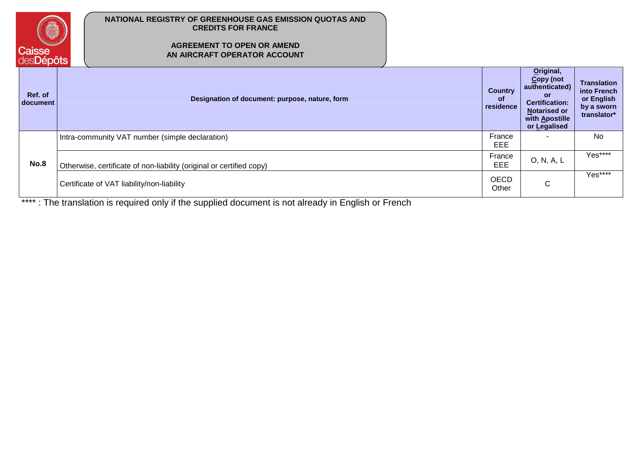

## **AGREEMENT TO OPEN OR AMEND AN AIRCRAFT OPERATOR ACCOUNT**

| Ref. of<br>document | Designation of document: purpose, nature, form                       | <b>Country</b><br><b>of</b><br>residence | Original,<br>Copy (not<br>authenticated)<br><b>or</b><br><b>Certification:</b><br><b>Notarised or</b><br>with Apostille<br>or Legalised | <b>Translation</b><br>into French<br>or English<br>by a sworn<br>translator* |
|---------------------|----------------------------------------------------------------------|------------------------------------------|-----------------------------------------------------------------------------------------------------------------------------------------|------------------------------------------------------------------------------|
| No.8                | Intra-community VAT number (simple declaration)                      | France<br>EEE                            |                                                                                                                                         | No                                                                           |
|                     | Otherwise, certificate of non-liability (original or certified copy) | France<br>EEE                            | O, N, A, L                                                                                                                              | Yes****                                                                      |
|                     | Certificate of VAT liability/non-liability                           | <b>OECD</b><br>Other                     | $\mathsf{C}$                                                                                                                            | Yes****                                                                      |

\*\*\*\* : The translation is required only if the supplied document is not already in English or French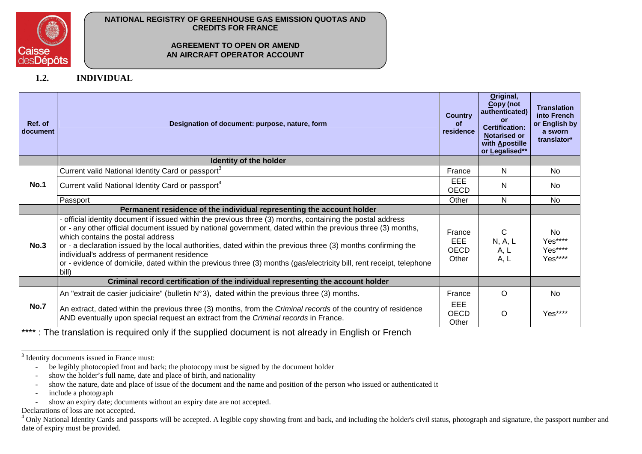

#### **AGREEMENT TO OPEN OR AMEND AN AIRCRAFT OPERATOR ACCOUNT**

**1.2.INDIVIDUAL** 

| Ref. of<br>document | Designation of document: purpose, nature, form                                                                                                                                                                                                                                                                                                                                                                                                                                                                                                                  | <b>Country</b><br><b>of</b><br>residence     | Original,<br>Copy (not<br>authenticated)<br>Ωr<br><b>Certification:</b><br><b>Notarised or</b><br>with Apostille<br>or Legalised** | <b>Translation</b><br>into French<br>or English by<br>a sworn<br>translator* |
|---------------------|-----------------------------------------------------------------------------------------------------------------------------------------------------------------------------------------------------------------------------------------------------------------------------------------------------------------------------------------------------------------------------------------------------------------------------------------------------------------------------------------------------------------------------------------------------------------|----------------------------------------------|------------------------------------------------------------------------------------------------------------------------------------|------------------------------------------------------------------------------|
|                     | Identity of the holder                                                                                                                                                                                                                                                                                                                                                                                                                                                                                                                                          |                                              |                                                                                                                                    |                                                                              |
|                     | Current valid National Identity Card or passport <sup>3</sup>                                                                                                                                                                                                                                                                                                                                                                                                                                                                                                   | France                                       | N                                                                                                                                  | <b>No</b>                                                                    |
| <b>No.1</b>         | Current valid National Identity Card or passport <sup>4</sup>                                                                                                                                                                                                                                                                                                                                                                                                                                                                                                   | EEE<br><b>OECD</b>                           | N                                                                                                                                  | <b>No</b>                                                                    |
|                     | Passport                                                                                                                                                                                                                                                                                                                                                                                                                                                                                                                                                        | Other                                        | N                                                                                                                                  | <b>No</b>                                                                    |
|                     | Permanent residence of the individual representing the account holder                                                                                                                                                                                                                                                                                                                                                                                                                                                                                           |                                              |                                                                                                                                    |                                                                              |
| No.3                | - official identity document if issued within the previous three (3) months, containing the postal address<br>or - any other official document issued by national government, dated within the previous three (3) months,<br>which contains the postal address<br>or - a declaration issued by the local authorities, dated within the previous three (3) months confirming the<br>individual's address of permanent residence<br>or - evidence of domicile, dated within the previous three (3) months (gas/electricity bill, rent receipt, telephone<br>bill) | France<br><b>EEE</b><br><b>OECD</b><br>Other | C<br>N, A, L<br>A, L<br>A, L                                                                                                       | <b>No</b><br>Yes****<br>Yes****<br>Yes****                                   |
|                     | Criminal record certification of the individual representing the account holder                                                                                                                                                                                                                                                                                                                                                                                                                                                                                 |                                              |                                                                                                                                    |                                                                              |
| No.7                | An "extrait de casier judiciaire" (bulletin $N°3$ ), dated within the previous three (3) months.                                                                                                                                                                                                                                                                                                                                                                                                                                                                | France                                       | $\circ$                                                                                                                            | <b>No</b>                                                                    |
|                     | An extract, dated within the previous three (3) months, from the Criminal records of the country of residence<br>AND eventually upon special request an extract from the Criminal records in France.                                                                                                                                                                                                                                                                                                                                                            | <b>EEE</b><br><b>OECD</b><br>Other           | O                                                                                                                                  | Yes****                                                                      |

\*\*\*\* : The translation is required only if the supplied document is not already in English or French

- be legibly photocopied front and back; the photocopy must be signed by the document holder -
- show the holder's full name, date and place of birth, and nationality
- show the nature, date and place of issue of the document and the name and position of the person who issued or authenticated it
- include a photograph
- show an expiry date; documents without an expiry date are not accepted.

Declarations of loss are not accepted.

<sup>4</sup> Only National Identity Cards and passports will be accepted. A legible copy showing front and back, and including the holder's civil status, photograph and signature, the passport number and date of expiry must be provided.

<sup>&</sup>lt;sup>3</sup> Identity documents issued in France must: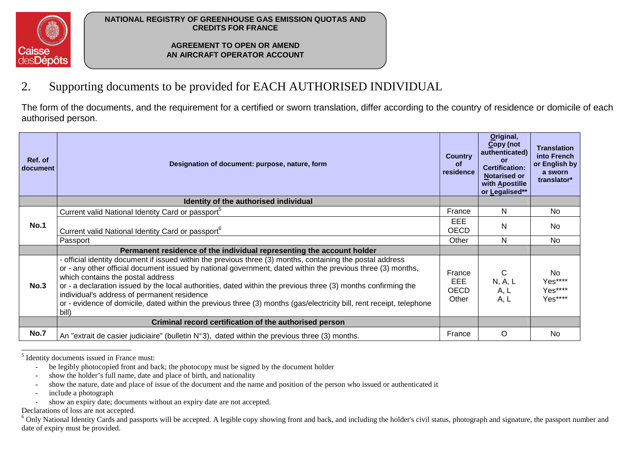

**AGREEMENT TO OPEN OR AMEND AN AIRCRAFT OPERATOR ACCOUNT** 

#### 2.Supporting documents to be provided for EACH AUTHORISED INDIVIDUAL

The form of the documents, and the requirement for a certified or sworn translation, differ according to the country of residence or domicile of each authorised person.

| Ref. of<br>document | Designation of document: purpose, nature, form                                                                                                                                                                                                                                                                                                                                                                                                                                                                                                                  | <b>Country</b><br><b>of</b><br>residence | Original,<br>Copy (not<br>authenticated)<br>or<br><b>Certification:</b><br><b>Notarised or</b><br>with Apostille<br>or Legalised** | <b>Translation</b><br>into French<br>or English by<br>a sworn<br>translator* |
|---------------------|-----------------------------------------------------------------------------------------------------------------------------------------------------------------------------------------------------------------------------------------------------------------------------------------------------------------------------------------------------------------------------------------------------------------------------------------------------------------------------------------------------------------------------------------------------------------|------------------------------------------|------------------------------------------------------------------------------------------------------------------------------------|------------------------------------------------------------------------------|
|                     | Identity of the authorised individual                                                                                                                                                                                                                                                                                                                                                                                                                                                                                                                           |                                          |                                                                                                                                    |                                                                              |
|                     | Current valid National Identity Card or passport <sup>5</sup>                                                                                                                                                                                                                                                                                                                                                                                                                                                                                                   | France                                   | N                                                                                                                                  | <b>No</b>                                                                    |
| <b>No.1</b>         | Current valid National Identity Card or passport <sup>o</sup>                                                                                                                                                                                                                                                                                                                                                                                                                                                                                                   | EEE<br><b>OECD</b>                       | N                                                                                                                                  | No                                                                           |
|                     | Passport                                                                                                                                                                                                                                                                                                                                                                                                                                                                                                                                                        | Other                                    | N                                                                                                                                  | <b>No</b>                                                                    |
|                     | Permanent residence of the individual representing the account holder                                                                                                                                                                                                                                                                                                                                                                                                                                                                                           |                                          |                                                                                                                                    |                                                                              |
| No.3                | - official identity document if issued within the previous three (3) months, containing the postal address<br>or - any other official document issued by national government, dated within the previous three (3) months,<br>which contains the postal address<br>or - a declaration issued by the local authorities, dated within the previous three (3) months confirming the<br>individual's address of permanent residence<br>or - evidence of domicile, dated within the previous three (3) months (gas/electricity bill, rent receipt, telephone<br>bill) | France<br>EEE<br><b>OECD</b><br>Other    | C<br>N, A, L<br>A, L<br>A, L                                                                                                       | No.<br>Yes****<br>Yes****<br>Yes****                                         |
|                     | Criminal record certification of the authorised person                                                                                                                                                                                                                                                                                                                                                                                                                                                                                                          |                                          |                                                                                                                                    |                                                                              |
| <b>No.7</b>         | An "extrait de casier judiciaire" (bulletin $N^{\circ}3$ ), dated within the previous three (3) months.                                                                                                                                                                                                                                                                                                                                                                                                                                                         | France                                   | O                                                                                                                                  | No.                                                                          |

<sup>5</sup> Identity documents issued in France must:

- be legibly photocopied front and back; the photocopy must be signed by the document holder
- show the holder's full name, date and place of birth, and nationality
- show the nature, date and place of issue of the document and the name and position of the person who issued or authenticated it
- include a photograph
- show an expiry date; documents without an expiry date are not accepted.

Declarations of loss are not accepted.

 $6$  Only National Identity Cards and passports will be accepted. A legible copy showing front and back, and including the holder's civil status, photograph and signature, the passport number and date of expiry must be provided.